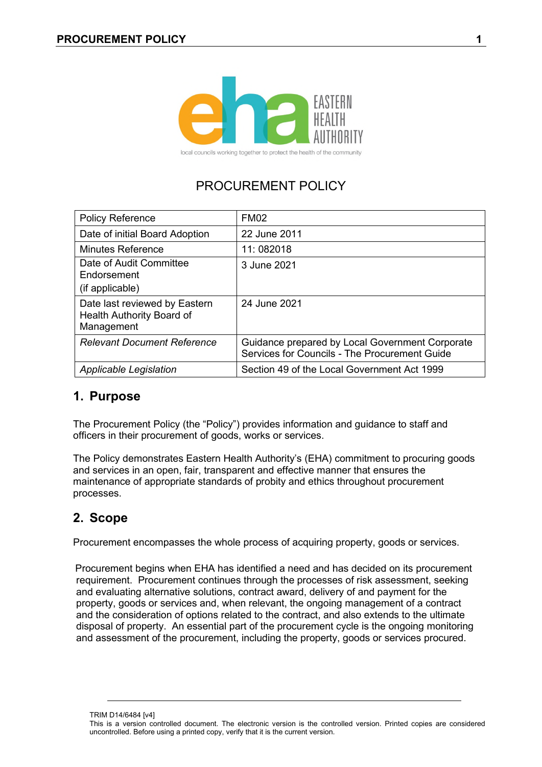

local councils working together to protect the health of the community

# PROCUREMENT POLICY

| <b>Policy Reference</b>                                                  | <b>FM02</b>                                                                                      |
|--------------------------------------------------------------------------|--------------------------------------------------------------------------------------------------|
| Date of initial Board Adoption                                           | 22 June 2011                                                                                     |
| <b>Minutes Reference</b>                                                 | 11:082018                                                                                        |
| Date of Audit Committee<br>Endorsement<br>(if applicable)                | 3 June 2021                                                                                      |
| Date last reviewed by Eastern<br>Health Authority Board of<br>Management | 24 June 2021                                                                                     |
| <b>Relevant Document Reference</b>                                       | Guidance prepared by Local Government Corporate<br>Services for Councils - The Procurement Guide |
| Applicable Legislation                                                   | Section 49 of the Local Government Act 1999                                                      |

### **1. Purpose**

The Procurement Policy (the "Policy") provides information and guidance to staff and officers in their procurement of goods, works or services.

The Policy demonstrates Eastern Health Authority's (EHA) commitment to procuring goods and services in an open, fair, transparent and effective manner that ensures the maintenance of appropriate standards of probity and ethics throughout procurement processes.

## **2. Scope**

Procurement encompasses the whole process of acquiring property, goods or services.

 Procurement begins when EHA has identified a need and has decided on its procurement requirement. Procurement continues through the processes of risk assessment, seeking and evaluating alternative solutions, contract award, delivery of and payment for the property, goods or services and, when relevant, the ongoing management of a contract and the consideration of options related to the contract, and also extends to the ultimate disposal of property. An essential part of the procurement cycle is the ongoing monitoring and assessment of the procurement, including the property, goods or services procured.

TRIM D14/6484 [v4]

This is a version controlled document. The electronic version is the controlled version. Printed copies are considered uncontrolled. Before using a printed copy, verify that it is the current version.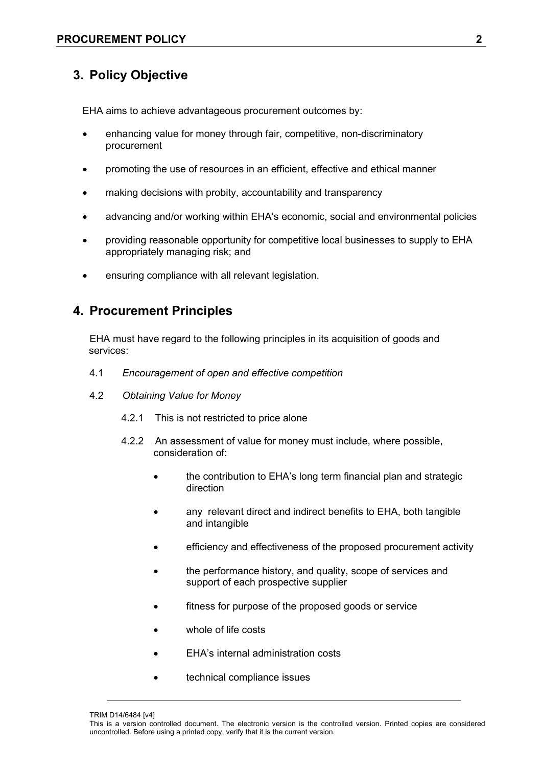## **3. Policy Objective**

EHA aims to achieve advantageous procurement outcomes by:

- enhancing value for money through fair, competitive, non-discriminatory procurement
- promoting the use of resources in an efficient, effective and ethical manner
- making decisions with probity, accountability and transparency
- advancing and/or working within EHA's economic, social and environmental policies
- providing reasonable opportunity for competitive local businesses to supply to EHA appropriately managing risk; and
- ensuring compliance with all relevant legislation.

### **4. Procurement Principles**

 EHA must have regard to the following principles in its acquisition of goods and services:

- 4.1 *Encouragement of open and effective competition*
- 4.2 *Obtaining Value for Money*
	- 4.2.1 This is not restricted to price alone
	- 4.2.2 An assessment of value for money must include, where possible, consideration of:
		- the contribution to EHA's long term financial plan and strategic direction
		- any relevant direct and indirect benefits to EHA, both tangible and intangible
		- efficiency and effectiveness of the proposed procurement activity
		- the performance history, and quality, scope of services and support of each prospective supplier
		- fitness for purpose of the proposed goods or service
		- whole of life costs
		- EHA's internal administration costs
		- technical compliance issues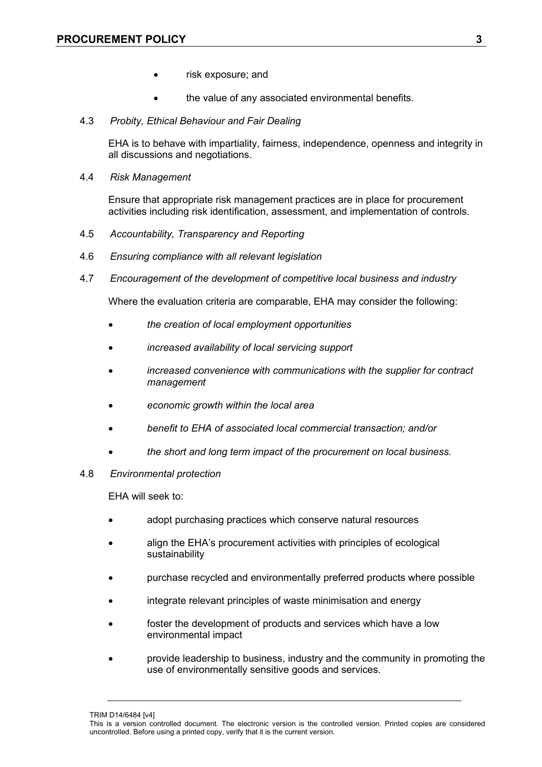- risk exposure; and
- the value of any associated environmental benefits.
- 4.3 *Probity, Ethical Behaviour and Fair Dealing*

EHA is to behave with impartiality, fairness, independence, openness and integrity in all discussions and negotiations.

4.4 *Risk Management* 

Ensure that appropriate risk management practices are in place for procurement activities including risk identification, assessment, and implementation of controls.

- 4.5 *Accountability, Transparency and Reporting*
- 4.6 *Ensuring compliance with all relevant legislation*
- 4.7 *Encouragement of the development of competitive local business and industry*

Where the evaluation criteria are comparable, EHA may consider the following:

- *the creation of local employment opportunities*
- *increased availability of local servicing support*
- *increased convenience with communications with the supplier for contract management*
- *economic growth within the local area*
- *benefit to EHA of associated local commercial transaction; and/or*
- *the short and long term impact of the procurement on local business.*
- 4.8 *Environmental protection*

EHA will seek to:

- adopt purchasing practices which conserve natural resources
- align the EHA's procurement activities with principles of ecological sustainability
- purchase recycled and environmentally preferred products where possible
- integrate relevant principles of waste minimisation and energy
- foster the development of products and services which have a low environmental impact
- provide leadership to business, industry and the community in promoting the use of environmentally sensitive goods and services.

TRIM D14/6484 [v4]

This is a version controlled document. The electronic version is the controlled version. Printed copies are considered uncontrolled. Before using a printed copy, verify that it is the current version.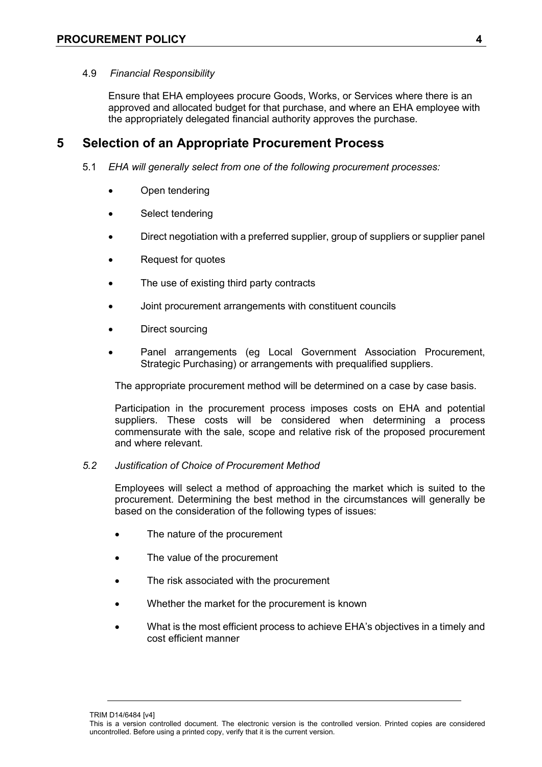#### 4.9 *Financial Responsibility*

Ensure that EHA employees procure Goods, Works, or Services where there is an approved and allocated budget for that purchase, and where an EHA employee with the appropriately delegated financial authority approves the purchase.

### **5 Selection of an Appropriate Procurement Process**

- 5.1 *EHA will generally select from one of the following procurement processes:*
	- Open tendering
	- Select tendering
	- Direct negotiation with a preferred supplier, group of suppliers or supplier panel
	- Request for quotes
	- The use of existing third party contracts
	- Joint procurement arrangements with constituent councils
	- Direct sourcing
	- Panel arrangements (eg Local Government Association Procurement, Strategic Purchasing) or arrangements with prequalified suppliers.

The appropriate procurement method will be determined on a case by case basis.

Participation in the procurement process imposes costs on EHA and potential suppliers. These costs will be considered when determining a process commensurate with the sale, scope and relative risk of the proposed procurement and where relevant.

#### *5.2 Justification of Choice of Procurement Method*

Employees will select a method of approaching the market which is suited to the procurement. Determining the best method in the circumstances will generally be based on the consideration of the following types of issues:

- The nature of the procurement
- The value of the procurement
- The risk associated with the procurement
- Whether the market for the procurement is known
- What is the most efficient process to achieve EHA's objectives in a timely and cost efficient manner

TRIM D14/6484 [v4]

This is a version controlled document. The electronic version is the controlled version. Printed copies are considered uncontrolled. Before using a printed copy, verify that it is the current version.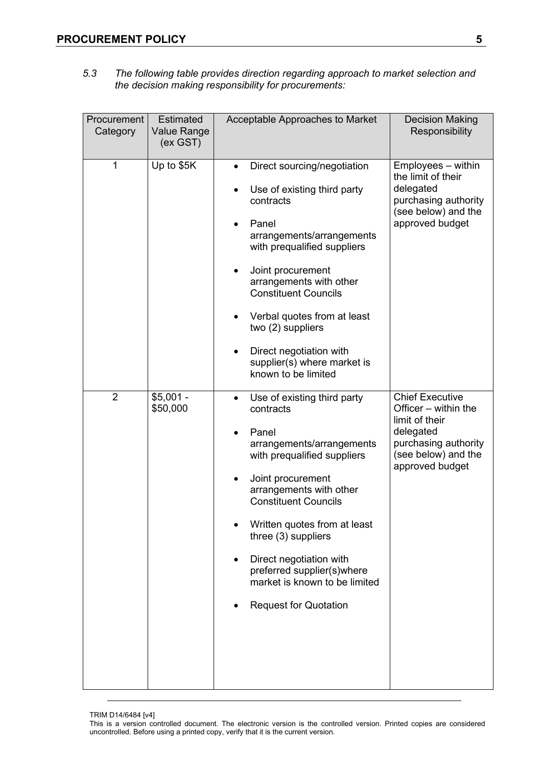*5.3 The following table provides direction regarding approach to market selection and the decision making responsibility for procurements:* 

| Procurement<br>Category | <b>Estimated</b><br><b>Value Range</b><br>(ex GST) | Acceptable Approaches to Market                                                                                                                                                                                                                                                                                                                                                                                      | <b>Decision Making</b><br>Responsibility                                                                                                        |
|-------------------------|----------------------------------------------------|----------------------------------------------------------------------------------------------------------------------------------------------------------------------------------------------------------------------------------------------------------------------------------------------------------------------------------------------------------------------------------------------------------------------|-------------------------------------------------------------------------------------------------------------------------------------------------|
| 1                       | Up to \$5K                                         | Direct sourcing/negotiation<br>$\bullet$<br>Use of existing third party<br>contracts<br>Panel<br>$\bullet$<br>arrangements/arrangements<br>with prequalified suppliers<br>Joint procurement<br>$\bullet$<br>arrangements with other<br><b>Constituent Councils</b><br>Verbal quotes from at least<br>two (2) suppliers<br>Direct negotiation with<br>$\bullet$<br>supplier(s) where market is<br>known to be limited | Employees - within<br>the limit of their<br>delegated<br>purchasing authority<br>(see below) and the<br>approved budget                         |
| $\overline{2}$          | $$5,001 -$<br>\$50,000                             | Use of existing third party<br>$\bullet$<br>contracts<br>Panel<br>arrangements/arrangements<br>with prequalified suppliers<br>Joint procurement<br>arrangements with other<br><b>Constituent Councils</b><br>Written quotes from at least<br>three (3) suppliers<br>Direct negotiation with<br>preferred supplier(s)where<br>market is known to be limited<br><b>Request for Quotation</b>                           | <b>Chief Executive</b><br>Officer - within the<br>limit of their<br>delegated<br>purchasing authority<br>(see below) and the<br>approved budget |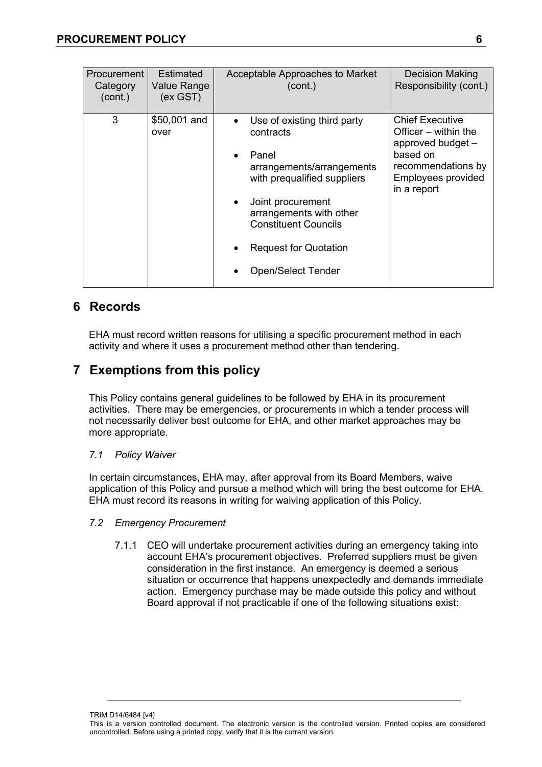| Procurement<br>Category<br>(cont.) | <b>Estimated</b><br><b>Value Range</b><br>(ex GST) | Acceptable Approaches to Market<br>(cont.)                                                                                                                                                                                                                             | <b>Decision Making</b><br>Responsibility (cont.)                                                                                           |
|------------------------------------|----------------------------------------------------|------------------------------------------------------------------------------------------------------------------------------------------------------------------------------------------------------------------------------------------------------------------------|--------------------------------------------------------------------------------------------------------------------------------------------|
| 3                                  | \$50,001 and<br>over                               | Use of existing third party<br>contracts<br>Panel<br>$\bullet$<br>arrangements/arrangements<br>with prequalified suppliers<br>Joint procurement<br>arrangements with other<br><b>Constituent Councils</b><br><b>Request for Quotation</b><br><b>Open/Select Tender</b> | <b>Chief Executive</b><br>Officer – within the<br>approved budget -<br>based on<br>recommendations by<br>Employees provided<br>in a report |

## **6 Records**

EHA must record written reasons for utilising a specific procurement method in each activity and where it uses a procurement method other than tendering.

## **7 Exemptions from this policy**

This Policy contains general guidelines to be followed by EHA in its procurement activities. There may be emergencies, or procurements in which a tender process will not necessarily deliver best outcome for EHA, and other market approaches may be more appropriate.

#### *7.1 Policy Waiver*

In certain circumstances, EHA may, after approval from its Board Members, waive application of this Policy and pursue a method which will bring the best outcome for EHA. EHA must record its reasons in writing for waiving application of this Policy.

- *7.2 Emergency Procurement* 
	- 7.1.1 CEO will undertake procurement activities during an emergency taking into account EHA's procurement objectives. Preferred suppliers must be given consideration in the first instance. An emergency is deemed a serious situation or occurrence that happens unexpectedly and demands immediate action. Emergency purchase may be made outside this policy and without Board approval if not practicable if one of the following situations exist:

TRIM D14/6484 [v4] This is a version controlled document. The electronic version is the controlled version. Printed copies are considered uncontrolled. Before using a printed copy, verify that it is the current version.